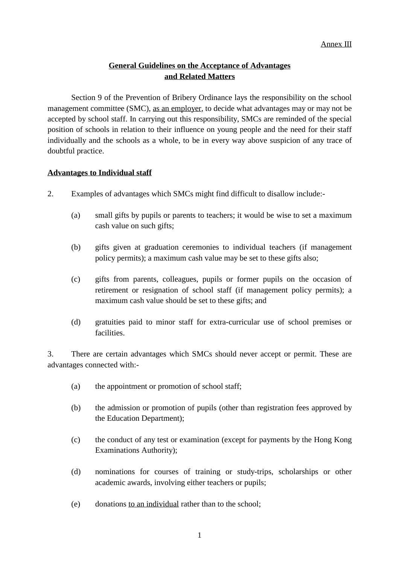# **General Guidelines on the Acceptance of Advantages and Related Matters**

Section 9 of the Prevention of Bribery Ordinance lays the responsibility on the school management committee (SMC), as an employer, to decide what advantages may or may not be accepted by school staff. In carrying out this responsibility, SMCs are reminded of the special position of schools in relation to their influence on young people and the need for their staff individually and the schools as a whole, to be in every way above suspicion of any trace of doubtful practice.

## **Advantages to Individual staff**

- 2. Examples of advantages which SMCs might find difficult to disallow include:-
	- (a) small gifts by pupils or parents to teachers; it would be wise to set a maximum cash value on such gifts;
	- (b) gifts given at graduation ceremonies to individual teachers (if management policy permits); a maximum cash value may be set to these gifts also;
	- (c) gifts from parents, colleagues, pupils or former pupils on the occasion of retirement or resignation of school staff (if management policy permits); a maximum cash value should be set to these gifts; and
	- (d) gratuities paid to minor staff for extra-curricular use of school premises or facilities.

3. There are certain advantages which SMCs should never accept or permit. These are advantages connected with:-

- (a) the appointment or promotion of school staff;
- (b) the admission or promotion of pupils (other than registration fees approved by the Education Department);
- (c) the conduct of any test or examination (except for payments by the Hong Kong Examinations Authority);
- (d) nominations for courses of training or study-trips, scholarships or other academic awards, involving either teachers or pupils;
- (e) donations to an individual rather than to the school;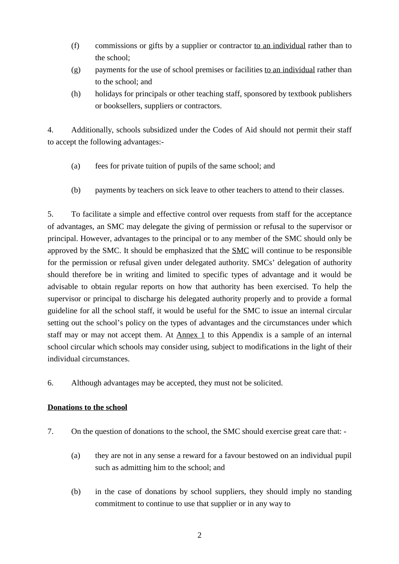- (f) commissions or gifts by a supplier or contractor to an individual rather than to the school;
- (g) payments for the use of school premises or facilities to an individual rather than to the school; and
- (h) holidays for principals or other teaching staff, sponsored by textbook publishers or booksellers, suppliers or contractors.

4. Additionally, schools subsidized under the Codes of Aid should not permit their staff to accept the following advantages:-

- (a) fees for private tuition of pupils of the same school; and
- (b) payments by teachers on sick leave to other teachers to attend to their classes.

5. To facilitate a simple and effective control over requests from staff for the acceptance of advantages, an SMC may delegate the giving of permission or refusal to the supervisor or principal. However, advantages to the principal or to any member of the SMC should only be approved by the SMC. It should be emphasized that the SMC will continue to be responsible for the permission or refusal given under delegated authority. SMCs' delegation of authority should therefore be in writing and limited to specific types of advantage and it would be advisable to obtain regular reports on how that authority has been exercised. To help the supervisor or principal to discharge his delegated authority properly and to provide a formal guideline for all the school staff, it would be useful for the SMC to issue an internal circular setting out the school's policy on the types of advantages and the circumstances under which staff may or may not accept them. At Annex 1 to this Appendix is a sample of an internal school circular which schools may consider using, subject to modifications in the light of their individual circumstances.

6. Although advantages may be accepted, they must not be solicited.

#### **Donations to the school**

- 7. On the question of donations to the school, the SMC should exercise great care that:
	- (a) they are not in any sense a reward for a favour bestowed on an individual pupil such as admitting him to the school; and
	- (b) in the case of donations by school suppliers, they should imply no standing commitment to continue to use that supplier or in any way to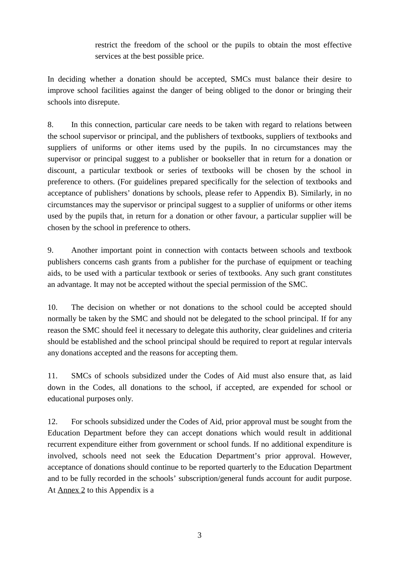restrict the freedom of the school or the pupils to obtain the most effective services at the best possible price.

In deciding whether a donation should be accepted, SMCs must balance their desire to improve school facilities against the danger of being obliged to the donor or bringing their schools into disrepute.

8. In this connection, particular care needs to be taken with regard to relations between the school supervisor or principal, and the publishers of textbooks, suppliers of textbooks and suppliers of uniforms or other items used by the pupils. In no circumstances may the supervisor or principal suggest to a publisher or bookseller that in return for a donation or discount, a particular textbook or series of textbooks will be chosen by the school in preference to others. (For guidelines prepared specifically for the selection of textbooks and acceptance of publishers' donations by schools, please refer to Appendix B). Similarly, in no circumstances may the supervisor or principal suggest to a supplier of uniforms or other items used by the pupils that, in return for a donation or other favour, a particular supplier will be chosen by the school in preference to others.

9. Another important point in connection with contacts between schools and textbook publishers concerns cash grants from a publisher for the purchase of equipment or teaching aids, to be used with a particular textbook or series of textbooks. Any such grant constitutes an advantage. It may not be accepted without the special permission of the SMC.

10. The decision on whether or not donations to the school could be accepted should normally be taken by the SMC and should not be delegated to the school principal. If for any reason the SMC should feel it necessary to delegate this authority, clear guidelines and criteria should be established and the school principal should be required to report at regular intervals any donations accepted and the reasons for accepting them.

11. SMCs of schools subsidized under the Codes of Aid must also ensure that, as laid down in the Codes, all donations to the school, if accepted, are expended for school or educational purposes only.

12. For schools subsidized under the Codes of Aid, prior approval must be sought from the Education Department before they can accept donations which would result in additional recurrent expenditure either from government or school funds. If no additional expenditure is involved, schools need not seek the Education Department's prior approval. However, acceptance of donations should continue to be reported quarterly to the Education Department and to be fully recorded in the schools' subscription/general funds account for audit purpose. At Annex 2 to this Appendix is a